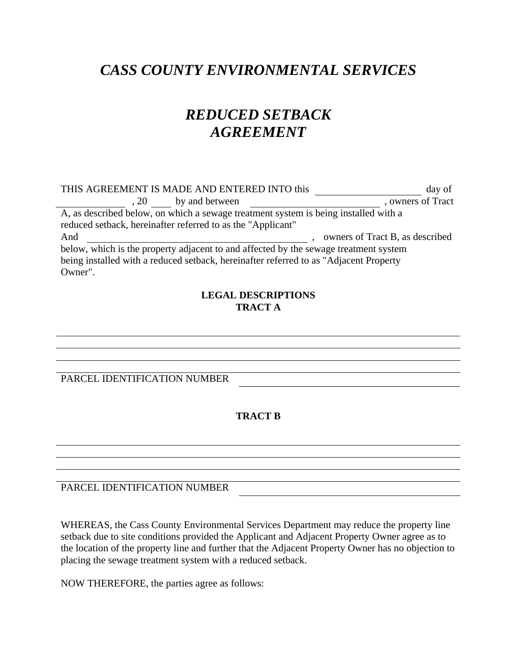## *CASS COUNTY ENVIRONMENTAL SERVICES*

## *REDUCED SETBACK AGREEMENT*

| THIS AGREEMENT IS MADE AND ENTERED INTO this                                           | day of                          |  |
|----------------------------------------------------------------------------------------|---------------------------------|--|
| , 20 by and between                                                                    | , owners of Tract               |  |
| A, as described below, on which a sewage treatment system is being installed with a    |                                 |  |
| reduced setback, hereinafter referred to as the "Applicant"                            |                                 |  |
| And                                                                                    | owners of Tract B, as described |  |
| below, which is the property adjacent to and affected by the sewage treatment system   |                                 |  |
| being installed with a reduced setback, hereinafter referred to as "Adjacent Property" |                                 |  |
| Owner".                                                                                |                                 |  |

## **LEGAL DESCRIPTIONS TRACT A**

PARCEL IDENTIFICATION NUMBER

**TRACT B** 

PARCEL IDENTIFICATION NUMBER

WHEREAS, the Cass County Environmental Services Department may reduce the property line setback due to site conditions provided the Applicant and Adjacent Property Owner agree as to the location of the property line and further that the Adjacent Property Owner has no objection to placing the sewage treatment system with a reduced setback.

NOW THEREFORE, the parties agree as follows: